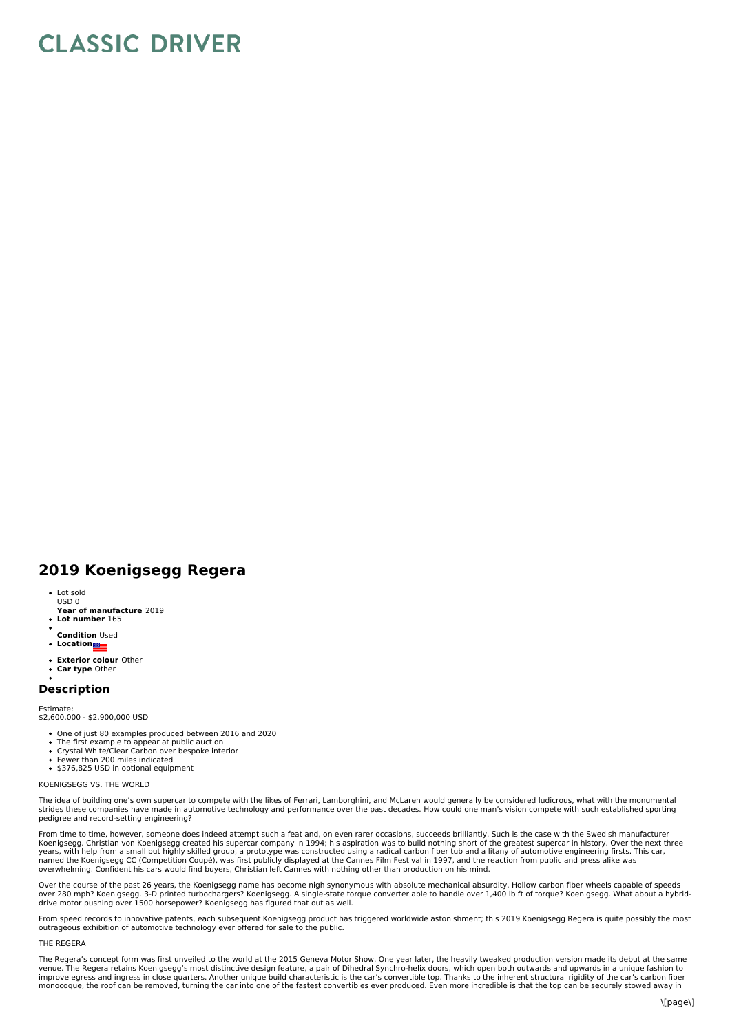# **CLASSIC DRIVER**

# **2019 Koenigsegg Regera**

- Lot sold
- **Year of manufacture** 2019 USD 0
- **Lot number** 165
- **Condition** Used  $\bullet$
- **Location**
- **Exterior colour** Other  $\ddot{\bullet}$
- **Car type** Other

# **Description**

#### Estimate:

\$2,600,000 - \$2,900,000 USD

- One of just 80 examples produced between 2016 and 2020
- The first example to appear at public auction<br>Crystal White/Clear Carbon over bespoke interior
- 
- Fewer than 200 miles indicated • \$376.825 USD in optional equipment

# KOENIGSEGG VS. THE WORLD

The idea of building one's own supercar to compete with the likes of Ferrari, Lamborghini, and McLaren would generally be considered ludicrous, what with the monumental strides these companies have made in automotive technology and performance over the past decades. How could one man's vision compete with such established sporting pedigree and record-setting engineering?

From time to time, however, someone does indeed attempt such a feat and, on even rarer occasions, succeeds brilliantly. Such is the case with the Swedish manufacturer<br>Koenigsegg. Christian von Koenigsegg created his superc years, with help from a small but highly skilled group, a prototype was constructed using a radical carbon fiber tub and a litany of automotive engineering firsts. This car,<br>named the Koenigsegg CC (Competition Coupé), was overwhelming. Confident his cars would find buyers, Christian left Cannes with nothing other than production on his mind.

Over the course of the past 26 years, the Koenigsegg name has become nigh synonymous with absolute mechanical absurdity. Hollow carbon fiber wheels capable of speeds over 280 mph? Koenigsegg. 3-D printed turbochargers? Koenigsegg. A single-state torque converter able to handle over 1,400 lb ft of torque? Koenigsegg. What about a hybrid-<br>drive motor pushing over 1500 horsepower? Koenigs

From speed records to innovative patents, each subsequent Koenigsegg product has triggered worldwide astonishment; this 2019 Koenigsegg Regera is quite possibly the most<br>outrageous exhibition of automotive technology ever

#### THE REGERA

The Regera's concept form was first unveiled to the world at the 2015 Geneva Motor Show. One year later, the heavily tweaked production version made its debut at the same venue. The Regera retains Koenigsegg's most distinctive design feature, a pair of Dihedral Synchro-helix doors, which open both outwards and upwards in a unique fashion to<br>improve egress and ingress in close quarters. Anot monocoque, the roof can be removed, turning the car into one of the fastest convertibles ever produced. Even more incredible is that the top can be securely stowed away in